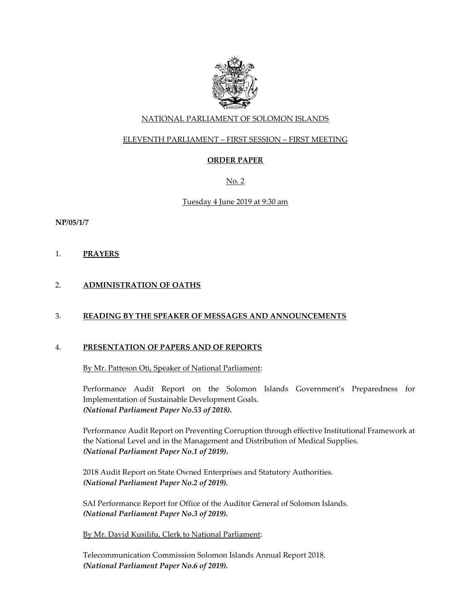

# NATIONAL PARLIAMENT OF SOLOMON ISLANDS

# ELEVENTH PARLIAMENT – FIRST SESSION – FIRST MEETING

# **ORDER PAPER**

No. 2

## Tuesday 4 June 2019 at 9:30 am

**NP/05/1/7**

1. **PRAYERS**

# 2. **ADMINISTRATION OF OATHS**

## 3. **READING BY THE SPEAKER OF MESSAGES AND ANNOUNCEMENTS**

#### 4. **PRESENTATION OF PAPERS AND OF REPORTS**

By Mr. Patteson Oti, Speaker of National Parliament:

Performance Audit Report on the Solomon Islands Government's Preparedness for Implementation of Sustainable Development Goals. *(National Parliament Paper No.53 of 2018).* 

Performance Audit Report on Preventing Corruption through effective Institutional Framework at the National Level and in the Management and Distribution of Medical Supplies. *(National Parliament Paper No.1 of 2019).* 

2018 Audit Report on State Owned Enterprises and Statutory Authorities. *(National Parliament Paper No.2 of 2019).* 

SAI Performance Report for Office of the Auditor General of Solomon Islands. *(National Parliament Paper No.3 of 2019).* 

#### By Mr. David Kusilifu, Clerk to National Parliament:

Telecommunication Commission Solomon Islands Annual Report 2018. *(National Parliament Paper No.6 of 2019).*